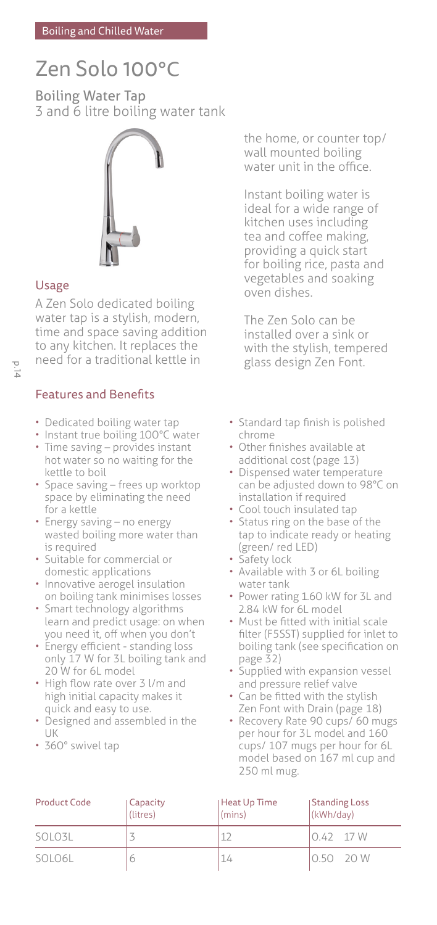# Zen Solo 100°C

Boiling Water Tap 3 and 6 litre boiling water tank



# Usage

A Zen Solo dedicated boiling water tap is a stylish, modern, time and space saving addition to any kitchen. It replaces the need for a traditional kettle in

# Features and Benefits

- Dedicated boiling water tap
- Instant true boiling 100°C water • Time saving – provides instant hot water so no waiting for the
- kettle to boil • Space saving – frees up worktop space by eliminating the need for a kettle
- Energy saving no energy wasted boiling more water than is required
- Suitable for commercial or domestic applications
- Innovative aerogel insulation on boiling tank minimises losses
- Smart technology algorithms learn and predict usage: on when you need it, off when you don't
- Energy efficient standing loss only 17 W for 3L boiling tank and 20 W for 6L model
- High flow rate over 3 l/m and high initial capacity makes it quick and easy to use.
- Designed and assembled in the  $| || \mathbf{k}$
- 360° swivel tap

the home, or counter top/ wall mounted boiling water unit in the office.

Instant boiling water is ideal for a wide range of kitchen uses including tea and coffee making, providing a quick start for boiling rice, pasta and vegetables and soaking oven dishes.

The Zen Solo can be installed over a sink or with the stylish, tempered glass design Zen Font.

- Standard tap finish is polished chrome
- Other finishes available at additional cost (page 13)
- Dispensed water temperature can be adjusted down to 98°C on installation if required
- Cool touch insulated tap
- Status ring on the base of the tap to indicate ready or heating (green/ red LED)
- Safety lock
- Available with 3 or 6L boiling water tank
- Power rating 1.60 kW for 3L and 2.84 kW for 6L model
- Must be fitted with initial scale filter (F5SST) supplied for inlet to boiling tank (see specification on page 32)
- Supplied with expansion vessel and pressure relief valve
- Can be fitted with the stylish Zen Font with Drain (page 18)
- Recovery Rate 90 cups/ 60 mugs per hour for 3L model and 160 cups/ 107 mugs per hour for 6L model based on 167 ml cup and 250 ml mug.

| <b>Product Code</b> | Capacity<br>(litres) | Heat Up Time<br>(mins) | Standing Loss<br>(kWh/day) |  |
|---------------------|----------------------|------------------------|----------------------------|--|
| SOLO3L              |                      |                        | $0.42$ 17 W                |  |
| SOLO6L              |                      |                        | 0.50 20 W                  |  |